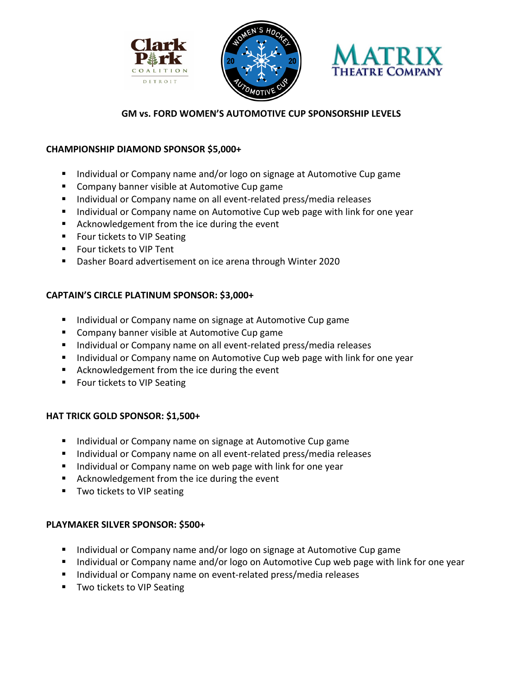





# **GM vs. FORD WOMEN'S AUTOMOTIVE CUP SPONSORSHIP LEVELS**

### **CHAMPIONSHIP DIAMOND SPONSOR \$5,000+**

- **Individual or Company name and/or logo on signage at Automotive Cup game**
- Company banner visible at Automotive Cup game
- **Individual or Company name on all event-related press/media releases**
- **Individual or Company name on Automotive Cup web page with link for one year**
- Acknowledgement from the ice during the event
- **FICULT FOUT THAT SEAT SEAT FILTE**
- Four tickets to VIP Tent
- Dasher Board advertisement on ice arena through Winter 2020

## **CAPTAIN'S CIRCLE PLATINUM SPONSOR: \$3,000+**

- **Individual or Company name on signage at Automotive Cup game**
- **Company banner visible at Automotive Cup game**
- **Individual or Company name on all event-related press/media releases**
- **Individual or Company name on Automotive Cup web page with link for one year**
- **E** Acknowledgement from the ice during the event
- **FICULT FOUT THAT SEAT SEAT FILTE**

## **HAT TRICK GOLD SPONSOR: \$1,500+**

- **Individual or Company name on signage at Automotive Cup game**
- **Individual or Company name on all event-related press/media releases**
- **IF Individual or Company name on web page with link for one year**
- Acknowledgement from the ice during the event
- **TWO tickets to VIP seating**

## **PLAYMAKER SILVER SPONSOR: \$500+**

- **Individual or Company name and/or logo on signage at Automotive Cup game**
- **Individual or Company name and/or logo on Automotive Cup web page with link for one year**
- **Individual or Company name on event-related press/media releases**
- **TWO tickets to VIP Seating**